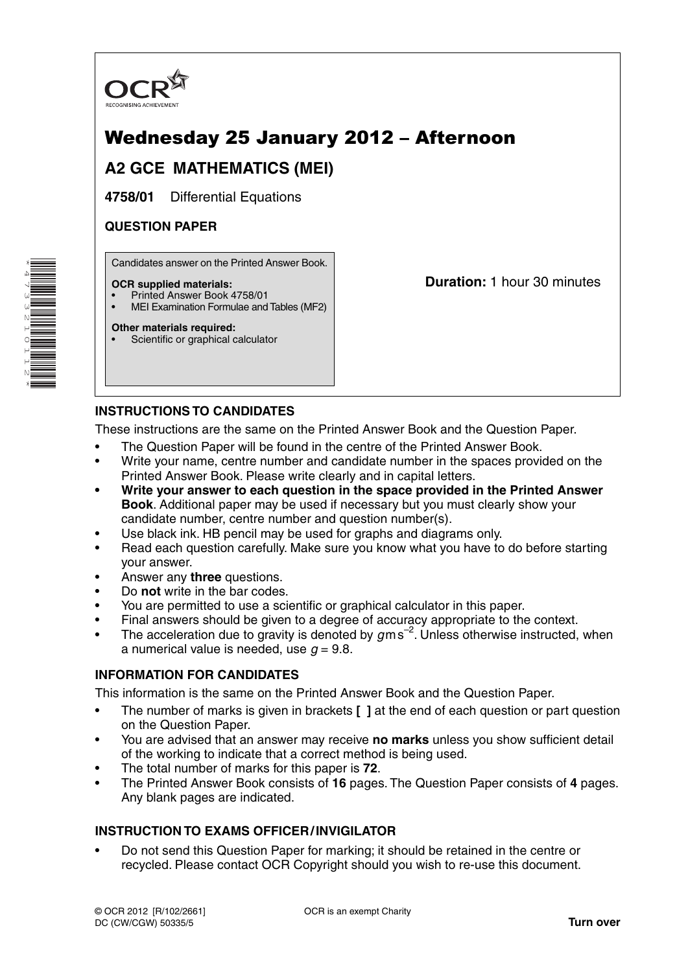

# Wednesday 25 January 2012 – Afternoon

## **A2 GCE MATHEMATICS (MEI)**

**4758/01** Differential Equations

## **QUESTION PAPER**

Candidates answer on the Printed Answer Book.

### **OCR supplied materials:**

- Printed Answer Book 4758/01
- MEI Examination Formulae and Tables (MF2)

### **Other materials required:**

Scientific or graphical calculator

**Duration:** 1 hour 30 minutes

## **INSTRUCTIONS TO CANDIDATES**

These instructions are the same on the Printed Answer Book and the Question Paper.

- The Question Paper will be found in the centre of the Printed Answer Book.
- Write your name, centre number and candidate number in the spaces provided on the Printed Answer Book. Please write clearly and in capital letters.
- **Write your answer to each question in the space provided in the Printed Answer Book**. Additional paper may be used if necessary but you must clearly show your candidate number, centre number and question number(s).
- Use black ink. HB pencil may be used for graphs and diagrams only.
- Read each question carefully. Make sure you know what you have to do before starting your answer.
- Answer any **three** questions.
- Do **not** write in the bar codes.
- You are permitted to use a scientific or graphical calculator in this paper.
- Final answers should be given to a degree of accuracy appropriate to the context.
- The acceleration due to gravity is denoted by  $g$ m s<sup>-2</sup>. Unless otherwise instructed, when a numerical value is needed, use  $q = 9.8$ .

## **INFORMATION FOR CANDIDATES**

This information is the same on the Printed Answer Book and the Question Paper.

- The number of marks is given in brackets **[ ]** at the end of each question or part question on the Question Paper.
- You are advised that an answer may receive **no marks** unless you show sufficient detail of the working to indicate that a correct method is being used.
- The total number of marks for this paper is **72**.
- The Printed Answer Book consists of **16** pages. The Question Paper consists of **4** pages. Any blank pages are indicated.

## **INSTRUCTION TO EXAMS OFFICER / INVIGILATOR**

• Do not send this Question Paper for marking; it should be retained in the centre or recycled. Please contact OCR Copyright should you wish to re-use this document.

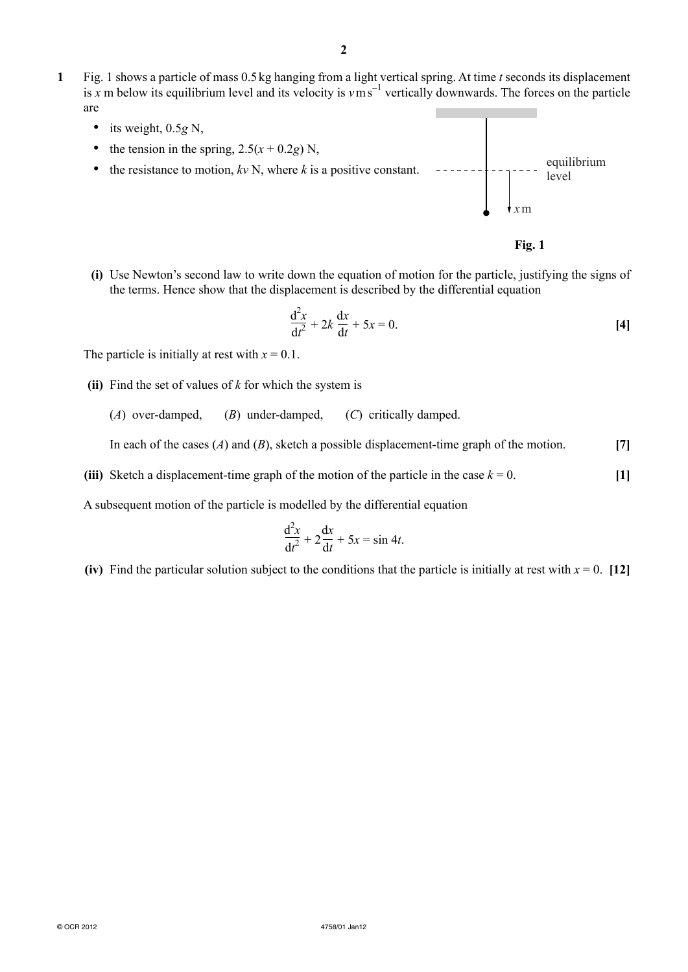- **1** Fig. 1 shows a particle of mass 0.5 kg hanging from a light vertical spring. At time *t* seconds its displacement is *x* m below its equilibrium level and its velocity is *v* m s−<sup>1</sup> vertically downwards. The forces on the particle are
	- its weight, 0.5*g* N,
	- the tension in the spring,  $2.5(x + 0.2g)$  N,
	- the resistance to motion,  $k \nu$  N, where  $k$  is a positive constant. equilibrium level *x*m



 **(i)** Use Newton's second law to write down the equation of motion for the particle, justifying the signs of the terms. Hence show that the displacement is described by the differential equation

$$
\frac{\mathrm{d}^2 x}{\mathrm{d}t^2} + 2k \frac{\mathrm{d}x}{\mathrm{d}t} + 5x = 0.
$$
 [4]

The particle is initially at rest with  $x = 0.1$ .

- **(ii)** Find the set of values of *k* for which the system is
	- (*A*) over-damped, (*B*) under-damped, (*C*) critically damped.

In each of the cases (*A*) and (*B*), sketch a possible displacement-time graph of the motion. **[7]**

**(iii)** Sketch a displacement-time graph of the motion of the particle in the case  $k = 0$ . [1]

A subsequent motion of the particle is modelled by the differential equation

$$
\frac{\mathrm{d}^2 x}{\mathrm{d}t^2} + 2\frac{\mathrm{d}x}{\mathrm{d}t} + 5x = \sin 4t.
$$

**(iv)** Find the particular solution subject to the conditions that the particle is initially at rest with  $x = 0$ . [12]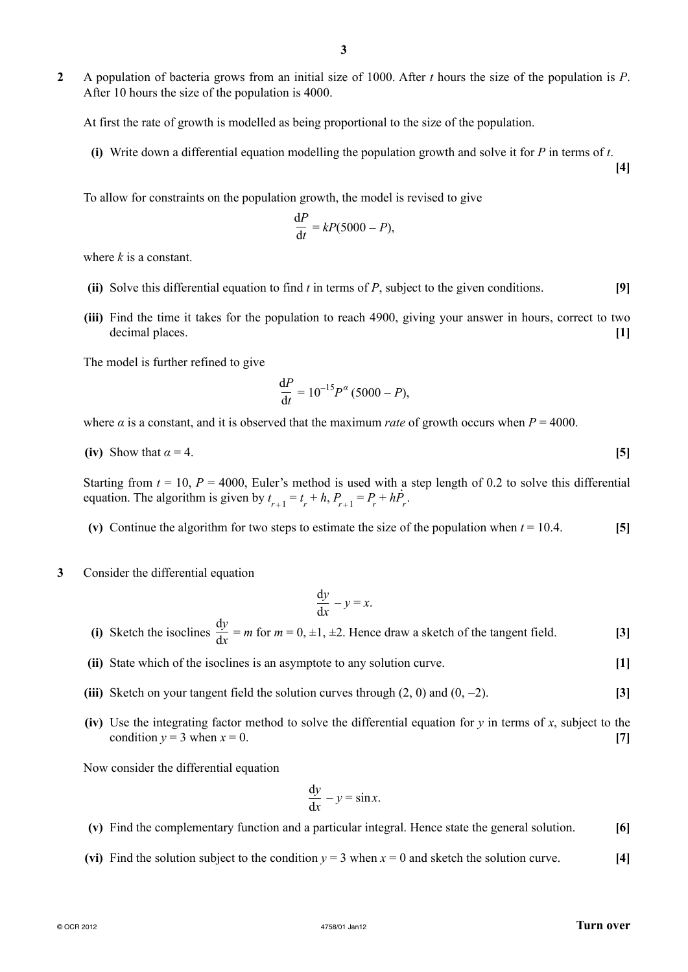**2** A population of bacteria grows from an initial size of 1000. After *t* hours the size of the population is *P*. After 10 hours the size of the population is 4000.

At first the rate of growth is modelled as being proportional to the size of the population.

 **(i)** Write down a differential equation modelling the population growth and solve it for *P* in terms of *t*.

To allow for constraints on the population growth, the model is revised to give

$$
\frac{\mathrm{d}P}{\mathrm{d}t} = kP(5000 - P),
$$

where *k* is a constant.

- **(ii)** Solve this differential equation to find *t* in terms of *P*, subject to the given conditions. **[9]**
- **(iii)** Find the time it takes for the population to reach 4900, giving your answer in hours, correct to two decimal places. **[1]**

The model is further refined to give

$$
\frac{\mathrm{d}P}{\mathrm{d}t} = 10^{-15}P^{\alpha}(5000 - P),
$$

where  $\alpha$  is a constant, and it is observed that the maximum *rate* of growth occurs when  $P = 4000$ .

(iv) Show that 
$$
\alpha = 4
$$
. [5]

Starting from  $t = 10$ ,  $P = 4000$ , Euler's method is used with a step length of 0.2 to solve this differential equation. The algorithm is given by  $t_{r+1} = t_r + h$ ,  $P_{r+1} = P_r + h\dot{P}_r$ .

**(v)** Continue the algorithm for two steps to estimate the size of the population when  $t = 10.4$ . [5]

**3** Consider the differential equation

$$
\frac{\mathrm{d}y}{\mathrm{d}x} - y = x.
$$

- **(i)** Sketch the isoclines d*y*  $\frac{dy}{dx}$  = *m* for *m* = 0, ±1, ±2. Hence draw a sketch of the tangent field. **[3]** 
	- **(ii)** State which of the isoclines is an asymptote to any solution curve. **[1]**
	- **(iii)** Sketch on your tangent field the solution curves through  $(2, 0)$  and  $(0, -2)$ . [3]
	- **(iv)** Use the integrating factor method to solve the differential equation for  $\gamma$  in terms of  $x$ , subject to the condition  $y = 3$  when  $x = 0$ . [7]

Now consider the differential equation

$$
\frac{\mathrm{d}y}{\mathrm{d}x} - y = \sin x.
$$

- **(v)** Find the complementary function and a particular integral. Hence state the general solution. **[6]**
- (vi) Find the solution subject to the condition  $y = 3$  when  $x = 0$  and sketch the solution curve. [4]

**[4]**